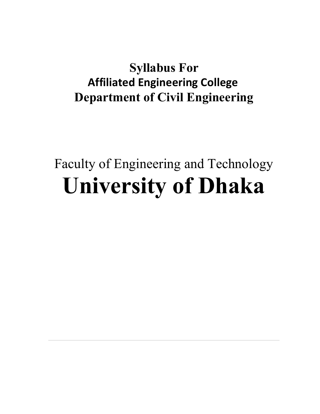# Syllabus For Affiliated Engineering College Department of Civil Engineering

# Faculty of Engineering and Technology University of Dhaka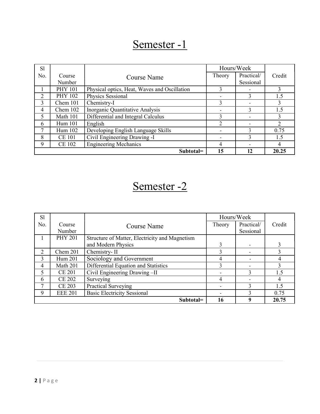| S <sub>1</sub> |                  |                                              | Hours/Week |                         |        |
|----------------|------------------|----------------------------------------------|------------|-------------------------|--------|
| No.            | Course<br>Number | Course Name                                  | Theory     | Practical/<br>Sessional | Credit |
|                | <b>PHY 101</b>   | Physical optics, Heat, Waves and Oscillation |            |                         |        |
| າ              | <b>PHY 102</b>   | Physics Sessional                            |            | 3                       | 1.5    |
| 3              | Chem 101         | Chemistry-I                                  |            |                         |        |
| 4              | Chem 102         | Inorganic Quantitative Analysis              |            |                         | 1.5    |
|                | Math 101         | Differential and Integral Calculus           |            |                         |        |
| 6              | Hum 101          | English                                      |            |                         |        |
|                | Hum 102          | Developing English Language Skills           |            |                         | 0.75   |
| 8              | <b>CE 101</b>    | Civil Engineering Drawing -I                 |            |                         | 1.5    |
| 9              | <b>CE 102</b>    | <b>Engineering Mechanics</b>                 | 4          |                         | 4      |
|                |                  | Subtotal=                                    | 15         | 12                      | 20.25  |

| <b>Sl</b> |                |                                                |        | Hours/Week               |        |
|-----------|----------------|------------------------------------------------|--------|--------------------------|--------|
| No.       | Course         | Course Name                                    | Theory | Practical/               | Credit |
|           | Number         |                                                |        | Sessional                |        |
|           | <b>PHY 201</b> | Structure of Matter, Electricity and Magnetism |        |                          |        |
|           |                | and Modern Physics                             |        | ۰.                       |        |
|           | Chem 201       | Chemistry-II                                   |        | $\sim$                   |        |
|           | Hum 201        | Sociology and Government                       | 4      |                          |        |
| 4         | Math 201       | Differential Equation and Statistics           |        |                          |        |
|           | <b>CE 201</b>  | Civil Engineering Drawing -II                  |        |                          | .5     |
| 6         | <b>CE 202</b>  | Surveying                                      | 4      | $\overline{\phantom{a}}$ |        |
|           | <b>CE 203</b>  | Practical Surveying                            |        |                          | . 5    |
| 9         | <b>EEE 201</b> | <b>Basic Electricity Sessional</b>             |        |                          | 0.75   |
|           |                | Subtotal=                                      | 16     | 9                        | 20.75  |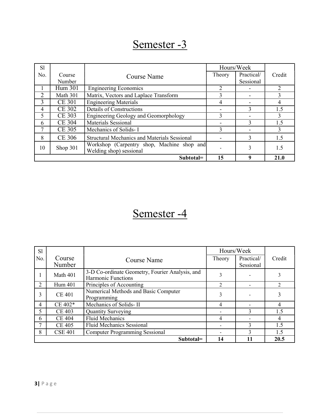| S <sub>1</sub>        |               |                                                                       | Hours/Week     |            |                |
|-----------------------|---------------|-----------------------------------------------------------------------|----------------|------------|----------------|
| No.                   | Course        | Course Name                                                           | Theory         | Practical/ | Credit         |
|                       | Number        |                                                                       |                | Sessional  |                |
|                       | Hum 301       | <b>Engineering Economics</b>                                          | $\overline{2}$ |            | $\mathfrak{D}$ |
| $\mathcal{D}_{\cdot}$ | Math 301      | Matrix, Vectors and Laplace Transform                                 | 3              |            |                |
| 3                     | <b>CE 301</b> | <b>Engineering Materials</b>                                          | 4              |            | 4              |
| 4                     | <b>CE 302</b> | Details of Constructions                                              |                | 3          | 1.5            |
|                       | <b>CE 303</b> | Engineering Geology and Geomorphology                                 | 3              |            |                |
| 6                     | <b>CE 304</b> | Materials Sessional                                                   |                | 3          | l.5            |
| ┑                     | <b>CE 305</b> | Mechanics of Solids-I                                                 | 3              |            |                |
| 8                     | <b>CE 306</b> | <b>Structural Mechanics and Materials Sessional</b>                   |                | 3          | 1.5            |
| 10                    | Shop 301      | Workshop (Carpentry shop, Machine shop and<br>Welding shop) sessional |                | 3          | 1.5            |
|                       |               | Subtotal=                                                             | 15             | 9          | 21.0           |

| <b>Sl</b>      |                  |                                                                              | Hours/Week |                         |                |
|----------------|------------------|------------------------------------------------------------------------------|------------|-------------------------|----------------|
| No.            | Course<br>Number | Course Name                                                                  | Theory     | Practical/<br>Sessional | Credit         |
|                | Math 401         | 3-D Co-ordinate Geometry, Fourier Analysis, and<br><b>Harmonic Functions</b> | 3          |                         |                |
| $\overline{2}$ | Hum 401          | Principles of Accounting                                                     | 2          |                         | $\mathfrak{D}$ |
| 3              | <b>CE 401</b>    | Numerical Methods and Basic Computer<br>Programming                          | 3          |                         | 3              |
| 4              | $CE 402*$        | Mechanics of Solids-II                                                       | 4          |                         | 4              |
|                | <b>CE 403</b>    | <b>Quantity Surveying</b>                                                    |            |                         | 1.5            |
| 6              | <b>CE 404</b>    | <b>Fluid Mechanics</b>                                                       | 4          |                         | 4              |
|                | <b>CE 405</b>    | <b>Fluid Mechanics Sessional</b>                                             |            |                         | 1.5            |
| 8              | <b>CSE 401</b>   | <b>Computer Programming Sessional</b>                                        |            |                         | 1.5            |
|                | Subtotal=        |                                                                              |            |                         | 20.5           |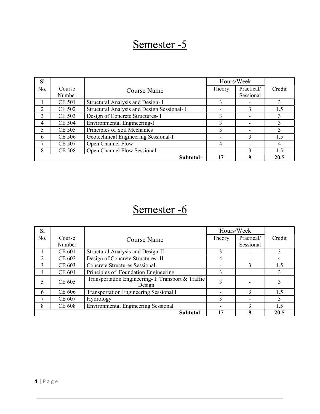| S1                          |               |                                             | Hours/Week               |            |                |
|-----------------------------|---------------|---------------------------------------------|--------------------------|------------|----------------|
| No.                         | Course        | Course Name                                 | Theory                   | Practical/ | Credit         |
|                             | Number        |                                             |                          | Sessional  |                |
|                             | CE 501        | Structural Analysis and Design-I            |                          |            |                |
| $\mathcal{D}_{\mathcal{L}}$ | <b>CE 502</b> | Structural Analysis and Design Sessional- I |                          |            | 1.5            |
|                             | CE 503        | Design of Concrete Structures- I            |                          |            |                |
| 4                           | <b>CE 504</b> | Environmental Engineering-I                 |                          |            |                |
|                             | <b>CE 505</b> | Principles of Soil Mechanics                | 3                        |            |                |
| 6                           | <b>CE 506</b> | Geotechnical Engineering Sessional-I        | $\overline{\phantom{0}}$ |            | 15             |
| ⇁                           | <b>CE 507</b> | Open Channel Flow                           | 4                        |            | 4              |
| 8                           | <b>CE 508</b> | Open Channel Flow Sessional                 |                          |            | $\overline{5}$ |
|                             |               | Subtotal=                                   | 17                       | 9          | 20.5           |

| <b>Sl</b>     |               |                                                              | Hours/Week |               |                 |
|---------------|---------------|--------------------------------------------------------------|------------|---------------|-----------------|
| No.           | Course        | Course Name                                                  | Theory     | Practical/    | Credit          |
|               | Number        |                                                              |            | Sessional     |                 |
|               | CE 601        | Structural Analysis and Design-II                            |            |               |                 |
|               | CE 602        | Design of Concrete Structures- II                            | 4          |               |                 |
| $\mathcal{L}$ | CE 603        | <b>Concrete Structures Sessional</b>                         |            |               | l.5             |
| 4             | <b>CE 604</b> | Principles of Foundation Engineering                         |            |               |                 |
|               | CE 605        | Transportation Engineering- I: Transport & Traffic<br>Design | 3          |               |                 |
| 6             | CE 606        | <b>Transportation Engineering Sessional I</b>                |            | $\mathcal{L}$ | 1.5             |
|               | CE 607        | Hydrology                                                    |            |               |                 |
| 8             | <b>CE 608</b> | <b>Environmental Engineering Sessional</b>                   |            |               | $\mathsf{L}$ .5 |
|               |               | Subtotal=                                                    | 17         | q             | 20.5            |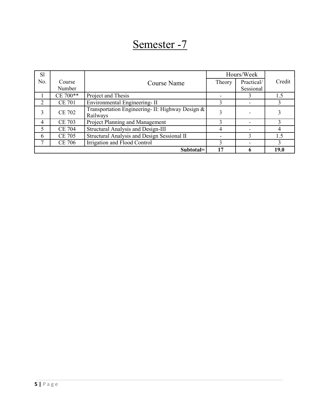| <b>Sl</b> |                  |                                                              |        | Hours/Week              |        |
|-----------|------------------|--------------------------------------------------------------|--------|-------------------------|--------|
| No.       | Course<br>Number | Course Name                                                  | Theory | Practical/<br>Sessional | Credit |
|           | CE 700**         | Project and Thesis                                           |        |                         | . 5    |
|           | <b>CE 701</b>    | Environmental Engineering-II                                 |        |                         |        |
|           | <b>CE 702</b>    | Transportation Engineering- II: Highway Design &<br>Railways |        |                         |        |
|           | <b>CE 703</b>    | Project Planning and Management                              |        |                         |        |
|           | <b>CE 704</b>    | Structural Analysis and Design-III                           |        |                         |        |
| 6         | CE 705           | Structural Analysis and Design Sessional II                  |        |                         | .5     |
|           | <b>CE 706</b>    | Irrigation and Flood Control                                 |        |                         |        |
|           |                  | Subtotal=                                                    | 17     | <sup>0</sup>            | 19.0   |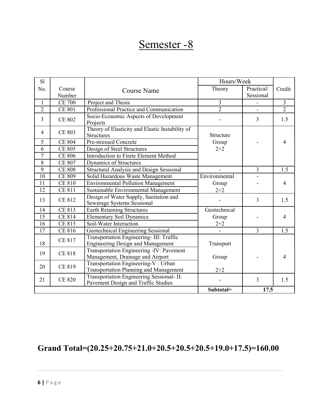| S1              |                  |                                                                                      | Hours/Week     |                         |                |
|-----------------|------------------|--------------------------------------------------------------------------------------|----------------|-------------------------|----------------|
| No.             | Course<br>Number | <b>Course Name</b>                                                                   | Theory         | Practical/<br>Sessional | Credit         |
| $\mathbf{1}$    | <b>CE 700</b>    | Project and Thesis                                                                   | 3              |                         | $\overline{3}$ |
| $\overline{2}$  | <b>CE 801</b>    | Professional Practice and Communication                                              | $\overline{2}$ | $\mathbf{r}$            | $\overline{2}$ |
| $\overline{3}$  | <b>CE 802</b>    | Socio-Economic Aspects of Development<br>Projects                                    |                | 3                       | 1.5            |
| 4               | <b>CE 803</b>    | Theory of Elasticity and Elastic Instability of<br><b>Structures</b>                 | Structure      |                         |                |
| 5               | <b>CE 804</b>    | Pre-stressed Concrete                                                                | Group          |                         | 4              |
| 6               | <b>CE 805</b>    | Design of Steel Structures                                                           | $2 + 2$        |                         |                |
| $\overline{7}$  | <b>CE 806</b>    | Introduction to Finite Element Method                                                |                |                         |                |
| 8               | <b>CE 807</b>    | Dynamics of Structures                                                               |                |                         |                |
| 9               | <b>CE 808</b>    | <b>Structural Analysis and Design Sessional</b>                                      |                | $\overline{3}$          | 1.5            |
| 10              | <b>CE 809</b>    | Solid Hazardous Waste Management                                                     | Environmental  |                         |                |
| $\overline{11}$ | <b>CE 810</b>    | <b>Environmental Pollution Management</b>                                            | Group          |                         | 4              |
| 12              | <b>CE 811</b>    | Sustainable Environmental Management                                                 | $2 + 2$        |                         |                |
| 13              | CE 812           | Design of Water Supply, Sanitation and<br><b>Sewerage Systems Sessional</b>          |                | $\overline{3}$          | 1.5            |
| 14              | <b>CE 813</b>    | <b>Earth Retaining Structures</b>                                                    | Geotechnical   |                         |                |
| 15              | CE 814           | <b>Elementary Soil Dynamics</b>                                                      | Group          |                         | 4              |
| 16              | CE 815           | Soil-Water Interaction                                                               | $2 + 2$        |                         |                |
| 17              | CE 816           | Geotechnical Engineering Sessional                                                   |                | $\overline{3}$          | 1.5            |
| 18              | <b>CE 817</b>    | Transportation Engineering- III: Traffic<br><b>Engineering Design and Management</b> | Transport      |                         |                |
| 19              | <b>CE 818</b>    | Transportation Engineering -IV: Pavement<br>Management, Drainage and Airport         | Group          |                         | 4              |
| 20              | CE 819           | Transportation Engineering-V: Urban<br><b>Transportation Planning and Management</b> | $2 + 2$        |                         |                |
| 21              | <b>CE 820</b>    | Transportation Engineering Sessional- II:<br>Pavement Design and Traffic Studies     |                | $\overline{3}$          | 1.5            |
|                 |                  |                                                                                      | Subtotal=      | 17.5                    |                |

### Grand Total=(20.25+20.75+21.0+20.5+20.5+20.5+19.0+17.5)=160.00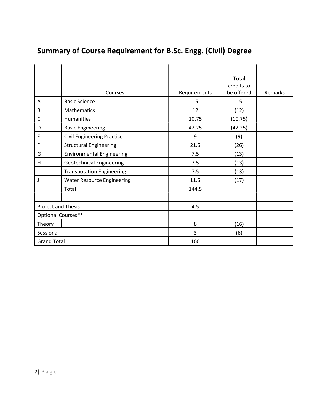|                    | Courses                           | Requirements | Total<br>credits to<br>be offered | Remarks |
|--------------------|-----------------------------------|--------------|-----------------------------------|---------|
| Α                  | <b>Basic Science</b>              | 15           | 15                                |         |
| B                  | Mathematics                       | 12           | (12)                              |         |
| C                  | Humanities                        | 10.75        | (10.75)                           |         |
| D                  | <b>Basic Engineering</b>          | 42.25        | (42.25)                           |         |
| E                  | <b>Civil Engineering Practice</b> | 9            | (9)                               |         |
| $\mathsf F$        | <b>Structural Engineering</b>     | 21.5         | (26)                              |         |
| G                  | <b>Environmental Engineering</b>  | 7.5          | (13)                              |         |
| Н                  | <b>Geotechnical Engineering</b>   | 7.5          | (13)                              |         |
|                    | <b>Transpotation Engineering</b>  | 7.5          | (13)                              |         |
| J                  | <b>Water Resource Engineering</b> | 11.5         | (17)                              |         |
|                    | Total                             | 144.5        |                                   |         |
|                    |                                   |              |                                   |         |
| Project and Thesis |                                   | 4.5          |                                   |         |
| Optional Courses** |                                   |              |                                   |         |
| Theory             |                                   | 8            | (16)                              |         |
| Sessional          |                                   | 3            | (6)                               |         |
| <b>Grand Total</b> |                                   | 160          |                                   |         |

### Summary of Course Requirement for B.Sc. Engg. (Civil) Degree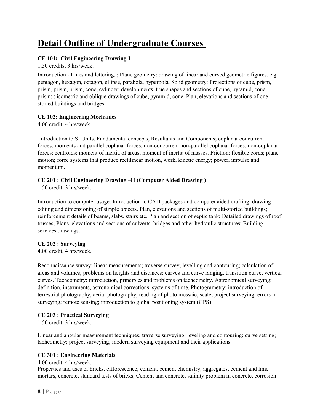### Detail Outline of Undergraduate Courses

#### CE 101: Civil Engineering Drawing-I

1.50 credits, 3 hrs/week.

Introduction - Lines and lettering, ; Plane geometry: drawing of linear and curved geometric figures, e.g. pentagon, hexagon, octagon, ellipse, parabola, hyperbola. Solid geometry: Projections of cube, prism, prism, prism, prism, cone, cylinder; developments, true shapes and sections of cube, pyramid, cone, prism; ; isometric and oblique drawings of cube, pyramid, cone. Plan, elevations and sections of one storied buildings and bridges.

#### CE 102: Engineering Mechanics

4.00 credit, 4 hrs/week.

Introduction to SI Units, Fundamental concepts, Resultants and Components; coplanar concurrent forces; moments and parallel coplanar forces; non-concurrent non-parallel coplanar forces; non-coplanar forces; centroids; moment of inertia of areas; moment of inertia of masses. Friction; flexible cords; plane motion; force systems that produce rectilinear motion, work, kinetic energy; power, impulse and momentum.

#### CE 201 : Civil Engineering Drawing –II (Computer Aided Drawing )

1.50 credit, 3 hrs/week.

Introduction to computer usage. Introduction to CAD packages and computer aided drafting: drawing editing and dimensioning of simple objects. Plan, elevations and sections of multi-storied buildings; reinforcement details of beams, slabs, stairs etc. Plan and section of septic tank; Detailed drawings of roof trusses; Plans, elevations and sections of culverts, bridges and other hydraulic structures; Building services drawings.

#### CE 202 : Surveying

4.00 credit, 4 hrs/week.

Reconnaissance survey; linear measurements; traverse survey; levelling and contouring; calculation of areas and volumes; problems on heights and distances; curves and curve ranging, transition curve, vertical curves. Tacheometry: introduction, principles and problems on tacheometry. Astronomical surveying: definition, instruments, astronomical corrections, systems of time. Photogrametry: introduction of terrestrial photography, aerial photography, reading of photo mossaic, scale; project surveying; errors in surveying; remote sensing; introduction to global positioning system (GPS).

#### CE 203 : Practical Surveying

1.50 credit, 3 hrs/week.

Linear and angular measurement techniques; traverse surveying; leveling and contouring; curve setting; tacheometry; project surveying; modern surveying equipment and their applications.

#### CE 301 : Engineering Materials

4.00 credit, 4 hrs/week.

Properties and uses of bricks, efflorescence; cement, cement chemistry, aggregates, cement and lime mortars, concrete, standard tests of bricks, Cement and concrete, salinity problem in concrete, corrosion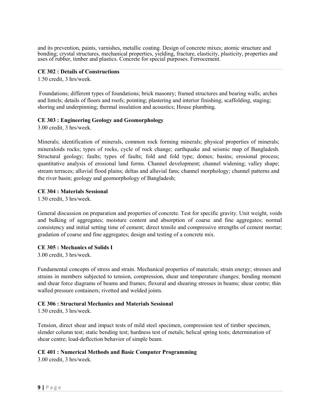and its prevention, paints, varnishes, metallic coating. Design of concrete mixes; atomic structure and bonding; crystal structures, mechanical properties, yielding, fracture, elasticity, plasticity, properties and uses of rubber, timber and plastics. Concrete for special purposes. Ferrocement.

#### CE 302 : Details of Constructions

1.50 credit, 3 hrs/week.

Foundations; different types of foundations; brick masonry; framed structures and bearing walls; arches and lintels; details of floors and roofs; pointing; plastering and interior finishing; scaffolding, staging; shoring and underpinning; thermal insulation and acoustics; House plumbing.

#### CE 303 : Engineering Geology and Geomorphology

3.00 credit, 3 hrs/week.

Minerals; identification of minerals, common rock forming minerals; physical properties of minerals; mineraloids rocks; types of rocks, cycle of rock change; earthquake and seismic map of Bangladesh. Structural geology; faults; types of faults; fold and fold type; domes; basins; erosional process; quantitative analysis of erosional land forms. Channel development; channel widening; valley shape; stream terraces; alluvial flood plains; deltas and alluvial fans; channel morphology; channel patterns and the river basin; geology and geomorphology of Bangladesh;

#### CE 304 : Materials Sessional

1.50 credit, 3 hrs/week.

General discussion on preparation and properties of concrete. Test for specific gravity. Unit weight, voids and bulking of aggregates; moisture content and absorption of coarse and fine aggregates; normal consistency and initial setting time of cement; direct tensile and compressive strengths of cement mortar; gradation of coarse and fine aggregates; design and testing of a concrete mix.

#### CE 305 : Mechanics of Solids I

3.00 credit, 3 hrs/week.

Fundamental concepts of stress and strain. Mechanical properties of materials; strain energy; stresses and strains in members subjected to tension, compression, shear and temperature changes; bending moment and shear force diagrams of beams and frames; flexural and shearing stresses in beams; shear centre; thin walled pressure containers; rivetted and welded joints.

#### CE 306 : Structural Mechanics and Materials Sessional

1.50 credit, 3 hrs/week.

Tension, direct shear and impact tests of mild steel specimen, compression test of timber specimen, slender column test; static bending test; hardness test of metals; helical spring tests; determination of shear centre; load-deflection behavior of simple beam.

#### CE 401 : Numerical Methods and Basic Computer Programming

3.00 credit, 3 hrs/week.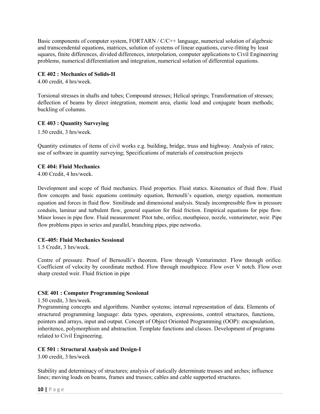Basic components of computer system, FORTARN / C/C++ language, numerical solution of algebraic and transcendental equations, matrices, solution of systems of linear equations, curve-fitting by least squares, finite differences, divided differences, interpolation, computer applications to Civil Engineering problems, numerical differentiation and integration, numerical solution of differential equations.

#### CE 402 : Mechanics of Solids-II

4.00 credit, 4 hrs/week.

Torsional stresses in shafts and tubes; Compound stresses; Helical springs; Transformation of stresses; deflection of beams by direct integration, moment area, elastic load and conjugate beam methods; buckling of columns.

#### CE 403 : Quantity Surveying

1.50 credit, 3 hrs/week.

Quantity estimates of items of civil works e.g. building, bridge, truss and highway. Analysis of rates; use of software in quantity surveying; Specifications of materials of construction projects

#### CE 404: Fluid Mechanics

4.00 Credit, 4 hrs/week.

Development and scope of fluid mechanics. Fluid properties. Fluid statics. Kinematics of fluid flow. Fluid flow concepts and basic equations continuity equation, Bernoulli's equation, energy equation, momentum equation and forces in fluid flow. Similitude and dimensional analysis. Steady incompressible flow in pressure conduits, laminar and turbulent flow, general equation for fluid friction. Empirical equations for pipe flow. Minor losses in pipe flow. Fluid measurement: Pitot tube, orifice, mouthpiece, nozzle, venturimeter, weir. Pipe flow problems pipes in series and parallel, branching pipes, pipe networks.

#### CE-405: Fluid Mechanics Sessional

1.5 Credit, 3 hrs/week.

Centre of pressure. Proof of Bernoulli's theorem. Flow through Venturimeter. Flow through orifice. Coefficient of velocity by coordinate method. Flow through mouthpiece. Flow over V notch. Flow over sharp crested weir. Fluid friction in pipe

#### CSE 401 : Computer Programming Sessional

1.50 credit, 3 hrs/week.

Programming concepts and algorithms. Number systems; internal representation of data. Elements of structured programming language: data types, operators, expressions, control structures, functions, pointers and arrays, input and output. Concept of Object Oriented Programming (OOP): encapsulation, inheritence, polymorphism and abstraction. Template functions and classes. Development of programs related to Civil Engineering.

#### CE 501 : Structural Analysis and Design-I

3.00 credit, 3 hrs/week

Stability and determinacy of structures; analysis of statically determinate trusses and arches; influence lines; moving loads on beams, frames and trusses; cables and cable supported structures.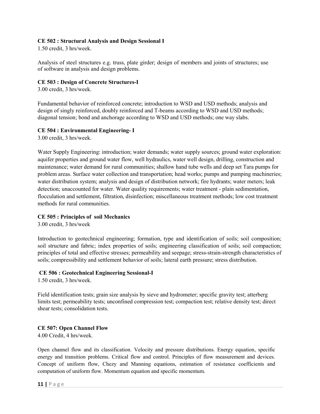#### CE 502 : Structural Analysis and Design Sessional I

1.50 credit, 3 hrs/week.

Analysis of steel structures e.g. truss, plate girder; design of members and joints of structures; use of software in analysis and design problems.

#### CE 503 : Design of Concrete Structures-I

3.00 credit, 3 hrs/week.

Fundamental behavior of reinforced concrete; introduction to WSD and USD methods; analysis and design of singly reinforced, doubly reinforced and T-beams according to WSD and USD methods; diagonal tension; bond and anchorage according to WSD and USD methods; one way slabs.

#### CE 504 : Environmental Engineering- I

3.00 credit, 3 hrs/week.

Water Supply Engineering: introduction; water demands; water supply sources; ground water exploration: aquifer properties and ground water flow, well hydraulics, water well design, drilling, construction and maintenance; water demand for rural communities; shallow hand tube wells and deep set Tara pumps for problem areas. Surface water collection and transportation; head works; pumps and pumping machineries; water distribution system; analysis and design of distribution network; fire hydrants; water meters; leak detection; unaccounted for water. Water quality requirements; water treatment - plain sedimentation, flocculation and settlement, filtration, disinfection; miscellaneous treatment methods; low cost treatment methods for rural communities.

#### CE 505 : Principles of soil Mechanics

3.00 credit, 3 hrs/week

Introduction to geotechnical engineering; formation, type and identification of soils; soil composition; soil structure and fabric; index properties of soils; engineering classification of soils; soil compaction; principles of total and effective stresses; permeability and seepage; stress-strain-strength characteristics of soils; compressibility and settlement behavior of soils; lateral earth pressure; stress distribution.

#### CE 506 : Geotechnical Engineering Sessional-I

1.50 credit, 3 hrs/week.

Field identification tests; grain size analysis by sieve and hydrometer; specific gravity test; atterberg limits test; permeability tests; unconfined compression test; compaction test; relative density test; direct shear tests; consolidation tests.

#### CE 507: Open Channel Flow

4.00 Credit, 4 hrs/week.

Open channel flow and its classification. Velocity and pressure distributions. Energy equation, specific energy and transition problems. Critical flow and control. Principles of flow measurement and devices. Concept of uniform flow, Chezy and Manning equations, estimation of resistance coefficients and computation of uniform flow. Momentum equation and specific momentum.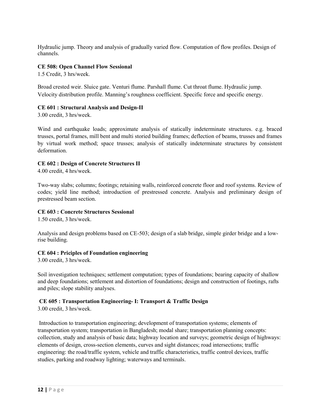Hydraulic jump. Theory and analysis of gradually varied flow. Computation of flow profiles. Design of channels.

#### CE 508: Open Channel Flow Sessional

1.5 Credit, 3 hrs/week.

Broad crested weir. Sluice gate. Venturi flume. Parshall flume. Cut throat flume. Hydraulic jump. Velocity distribution profile. Manning's roughness coefficient. Specific force and specific energy.

#### CE 601 : Structural Analysis and Design-II

3.00 credit, 3 hrs/week.

Wind and earthquake loads; approximate analysis of statically indeterminate structures. e.g. braced trusses, portal frames, mill bent and multi storied building frames; deflection of beams, trusses and frames by virtual work method; space trusses; analysis of statically indeterminate structures by consistent deformation.

#### CE 602 : Design of Concrete Structures II

4.00 credit, 4 hrs/week.

Two-way slabs; columns; footings; retaining walls, reinforced concrete floor and roof systems. Review of codes; yield line method; introduction of prestressed concrete. Analysis and preliminary design of prestressed beam section.

#### CE 603 : Concrete Structures Sessional

1.50 credit, 3 hrs/week.

Analysis and design problems based on CE-503; design of a slab bridge, simple girder bridge and a lowrise building.

#### CE 604 : Priciples of Foundation engineering

3.00 credit, 3 hrs/week.

Soil investigation techniques; settlement computation; types of foundations; bearing capacity of shallow and deep foundations; settlement and distortion of foundations; design and construction of footings, rafts and piles; slope stability analyses.

#### CE 605 : Transportation Engineering- I: Transport & Traffic Design

3.00 credit, 3 hrs/week.

Introduction to transportation engineering; development of transportation systems; elements of transportation system; transportation in Bangladesh; modal share; transportation planning concepts: collection, study and analysis of basic data; highway location and surveys; geometric design of highways: elements of design, cross-section elements, curves and sight distances; road intersections; traffic engineering: the road/traffic system, vehicle and traffic characteristics, traffic control devices, traffic studies, parking and roadway lighting; waterways and terminals.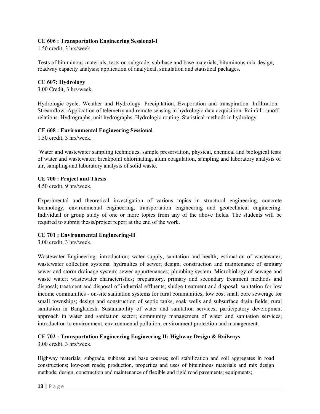#### CE 606 : Transportation Engineering Sessional-I

1.50 credit, 3 hrs/week.

Tests of bituminous materials, tests on subgrade, sub-base and base materials; bituminous mix design; roadway capacity analysis; application of analytical, simulation and statistical packages.

#### CE 607: Hydrology

3.00 Credit, 3 hrs/week.

Hydrologic cycle. Weather and Hydrology. Precipitation, Evaporation and transpiration. Infiltration. Streamflow. Application of telemetry and remote sensing in hydrologic data acquisition. Rainfall runoff relations. Hydrographs, unit hydrographs. Hydrologic routing. Statistical methods in hydrology.

#### CE 608 : Environmental Engineering Sessional

1.50 credit, 3 hrs/week.

Water and wastewater sampling techniques, sample preservation, physical, chemical and biological tests of water and wastewater; breakpoint chlorinating, alum coagulation, sampling and laboratory analysis of air, sampling and laboratory analysis of solid waste.

#### CE 700 : Project and Thesis

4.50 credit, 9 hrs/week.

Experimental and theoretical investigation of various topics in structural engineering, concrete technology, environmental engineering, transportation engineering and geotechnical engineering. Individual or group study of one or more topics from any of the above fields. The students will be required to submit thesis/project report at the end of the work.

#### CE 701 : Environmental Engineering-II

3.00 credit, 3 hrs/week.

Wastewater Engineering: introduction; water supply, sanitation and health; estimation of wastewater; wastewater collection systems; hydraulics of sewer; design, construction and maintenance of sanitary sewer and storm drainage system; sewer appurtenances; plumbing system. Microbiology of sewage and waste water; wastewater characteristics; preparatory, primary and secondary treatment methods and disposal; treatment and disposal of industrial effluents; sludge treatment and disposal; sanitation for low income communities - on-site sanitation systems for rural communities; low cost small bore sewerage for small townships; design and construction of septic tanks, soak wells and subsurface drain fields; rural sanitation in Bangladesh. Sustainability of water and sanitation services; participatory development approach in water and sanitation sector; community management of water and sanitation services; introduction to environment, environmental pollution; environment protection and management.

#### CE 702 : Transportation Engineering Engineering II: Highway Design & Railways

3.00 credit, 3 hrs/week.

Highway materials; subgrade, subbase and base courses; soil stabilization and soil aggregates in road constructions; low-cost roads; production, properties and uses of bituminous materials and mix design methods; design, construction and maintenance of flexible and rigid road pavements; equipments;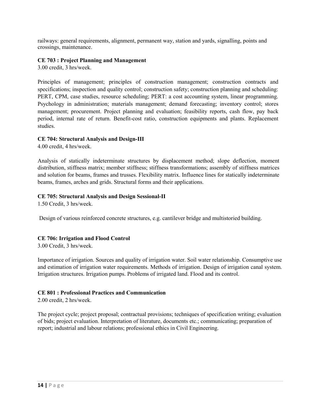railways: general requirements, alignment, permanent way, station and yards, signalling, points and crossings, maintenance.

#### CE 703 : Project Planning and Management

3.00 credit, 3 hrs/week.

Principles of management; principles of construction management; construction contracts and specifications; inspection and quality control; construction safety; construction planning and scheduling: PERT, CPM, case studies, resource scheduling; PERT: a cost accounting system, linear programming. Psychology in administration; materials management; demand forecasting; inventory control; stores management; procurement. Project planning and evaluation; feasibility reports, cash flow, pay back period, internal rate of return. Benefit-cost ratio, construction equipments and plants. Replacement studies.

#### CE 704: Structural Analysis and Design-III

4.00 credit, 4 hrs/week.

Analysis of statically indeterminate structures by displacement method; slope deflection, moment distribution, stiffness matrix; member stiffness; stiffness transformations; assembly of stiffness matrices and solution for beams, frames and trusses. Flexibility matrix. Influence lines for statically indeterminate beams, frames, arches and grids. Structural forms and their applications.

#### CE 705: Structural Analysis and Design Sessional-II

1.50 Credit, 3 hrs/week.

Design of various reinforced concrete structures, e.g. cantilever bridge and multistoried building.

#### CE 706: Irrigation and Flood Control

3.00 Credit, 3 hrs/week.

Importance of irrigation. Sources and quality of irrigation water. Soil water relationship. Consumptive use and estimation of irrigation water requirements. Methods of irrigation. Design of irrigation canal system. Irrigation structures. Irrigation pumps. Problems of irrigated land. Flood and its control.

#### CE 801 : Professional Practices and Communication

2.00 credit, 2 hrs/week.

The project cycle; project proposal; contractual provisions; techniques of specification writing; evaluation of bids; project evaluation. Interpretation of literature, documents etc.; communicating; preparation of report; industrial and labour relations; professional ethics in Civil Engineering.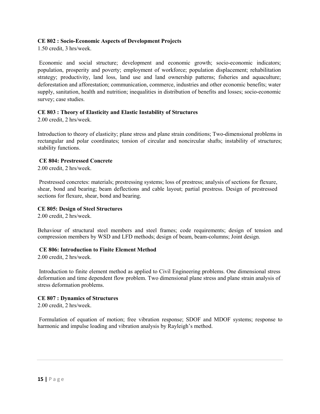#### CE 802 : Socio-Economic Aspects of Development Projects

1.50 credit, 3 hrs/week.

Economic and social structure; development and economic growth; socio-economic indicators; population, prosperity and poverty; employment of workforce; population displacement; rehabilitation strategy; productivity, land loss, land use and land ownership patterns; fisheries and aquaculture; deforestation and afforestation; communication, commerce, industries and other economic benefits; water supply, sanitation, health and nutrition; inequalities in distribution of benefits and losses; socio-economic survey; case studies.

#### CE 803 : Theory of Elasticity and Elastic Instability of Structures

2.00 credit, 2 hrs/week.

Introduction to theory of elasticity; plane stress and plane strain conditions; Two-dimensional problems in rectangular and polar coordinates; torsion of circular and noncircular shafts; instability of structures; stability functions.

#### CE 804: Prestressed Concrete

2.00 credit, 2 hrs/week.

Prestressed concretes: materials; prestressing systems; loss of prestress; analysis of sections for flexure, shear, bond and bearing; beam deflections and cable layout; partial prestress. Design of prestressed sections for flexure, shear, bond and bearing.

#### CE 805: Design of Steel Structures

2.00 credit, 2 hrs/week.

Behaviour of structural steel members and steel frames; code requirements; design of tension and compression members by WSD and LFD methods; design of beam, beam-columns; Joint design.

#### CE 806: Introduction to Finite Element Method

2.00 credit, 2 hrs/week.

Introduction to finite element method as applied to Civil Engineering problems. One dimensional stress deformation and time dependent flow problem. Two dimensional plane stress and plane strain analysis of stress deformation problems.

#### CE 807 : Dynamics of Structures

2.00 credit, 2 hrs/week.

Formulation of equation of motion; free vibration response; SDOF and MDOF systems; response to harmonic and impulse loading and vibration analysis by Rayleigh's method.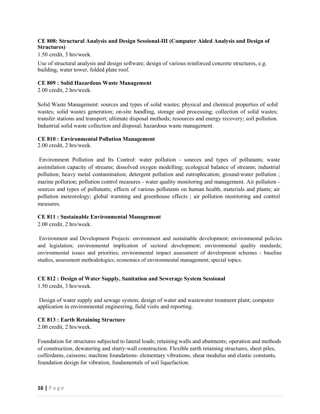#### CE 808: Structural Analysis and Design Sessional-III (Computer Aided Analysis and Design of Structures)

1.50 credit, 3 hrs/week.

Use of structural analysis and design software; design of various reinforced concrete structures, e.g. building, water tower, folded plate roof.

#### CE 809 : Solid Hazardous Waste Management

2.00 credit, 2 hrs/week.

Solid Waste Management: sources and types of solid wastes; physical and chemical properties of solid wastes; solid wastes generation; on-site handling, storage and processing; collection of solid wastes; transfer stations and transport; ultimate disposal methods; resources and energy recovery; soil pollution. Industrial solid waste collection and disposal; hazardous waste management.

#### CE 810 : Environmental Pollution Management

2.00 credit, 2 hrs/week.

Environment Pollution and Its Control: water pollution - sources and types of pollutants; waste assimilation capacity of streams; dissolved oxygen modelling; ecological balance of streams; industrial pollution; heavy metal contamination; detergent pollution and eutrophication; ground-water pollution ; marine pollution; pollution control measures - water quality monitoring and management. Air pollution sources and types of pollutants; effects of various pollutants on human health, materials and plants; air pollution meteorology; global warming and greenhouse effects ; air pollution monitoring and control measures.

#### CE 811 : Sustainable Environmental Management

2.00 credit, 2 hrs/week.

Environment and Development Projects: environment and sustainable development; environmental policies and legislation; environmental implication of sectoral development; environmental quality standards; environmental issues and priorities; environmental impact assessment of development schemes - baseline studies, assessment methodologies; economics of environmental management; special topics.

#### CE 812 : Design of Water Supply, Sanitation and Sewerage System Sessional

1.50 credit, 3 hrs/week.

Design of water supply and sewage system; design of water and wastewater treatment plant; computer application in environmental engineering, field visits and reporting.

#### CE 813 : Earth Retaining Structure

2.00 credit, 2 hrs/week.

Foundation for structures subjected to lateral loads; retaining walls and abutments; operation and methods of construction, dewatering and slurry-wall construction. Flexible earth retaining structures, sheet piles, cofferdams, caissons; machine foundations- elementary vibrations, shear modulus and elastic constants, foundation design for vibration, fundamentals of soil liquefaction.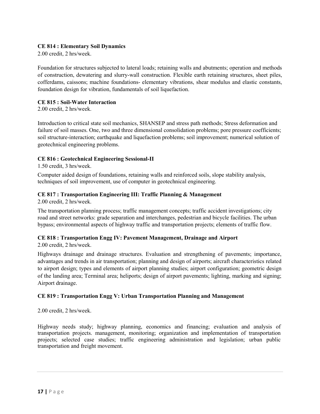#### CE 814 : Elementary Soil Dynamics

2.00 credit, 2 hrs/week.

Foundation for structures subjected to lateral loads; retaining walls and abutments; operation and methods of construction, dewatering and slurry-wall construction. Flexible earth retaining structures, sheet piles, cofferdams, caissons; machine foundations- elementary vibrations, shear modulus and elastic constants, foundation design for vibration, fundamentals of soil liquefaction.

#### CE 815 : Soil-Water Interaction

2.00 credit, 2 hrs/week.

Introduction to critical state soil mechanics, SHANSEP and stress path methods; Stress deformation and failure of soil masses. One, two and three dimensional consolidation problems; pore pressure coefficients; soil structure-interaction; earthquake and liquefaction problems; soil improvement; numerical solution of geotechnical engineering problems.

#### CE 816 : Geotechnical Engineering Sessional-II

1.50 credit, 3 hrs/week.

Computer aided design of foundations, retaining walls and reinforced soils, slope stability analysis, techniques of soil improvement, use of computer in geotechnical engineering.

#### CE 817 : Transportation Engineering III: Traffic Planning & Management

2.00 credit, 2 hrs/week.

The transportation planning process; traffic management concepts; traffic accident investigations; city road and street networks: grade separation and interchanges, pedestrian and bicycle facilities. The urban bypass; environmental aspects of highway traffic and transportation projects; elements of traffic flow.

#### CE 818 : Transportation Engg IV: Pavement Management, Drainage and Airport

2.00 credit, 2 hrs/week.

Highways drainage and drainage structures. Evaluation and strengthening of pavements; importance, advantages and trends in air transportation; planning and design of airports; aircraft characteristics related to airport design; types and elements of airport planning studies; airport configuration; geometric design of the landing area; Terminal area; heliports; design of airport pavements; lighting, marking and signing; Airport drainage.

#### CE 819 : Transportation Engg V: Urban Transportation Planning and Management

2.00 credit, 2 hrs/week.

Highway needs study; highway planning, economics and financing; evaluation and analysis of transportation projects. management, monitoring; organization and implementation of transportation projects; selected case studies; traffic engineering administration and legislation; urban public transportation and freight movement.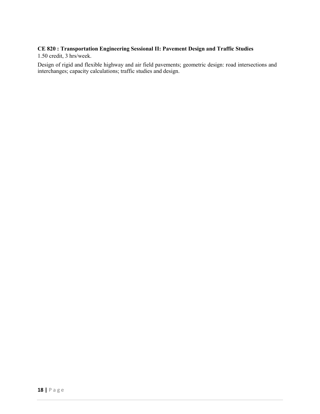#### CE 820 : Transportation Engineering Sessional II: Pavement Design and Traffic Studies

1.50 credit, 3 hrs/week.

Design of rigid and flexible highway and air field pavements; geometric design: road intersections and interchanges; capacity calculations; traffic studies and design.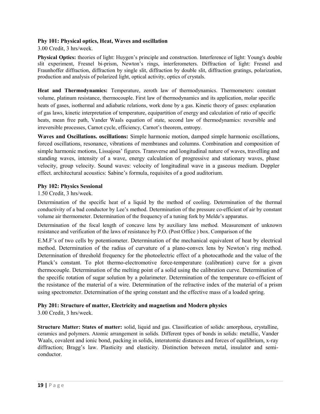#### Phy 101: Physical optics, Heat, Waves and oscillation

3.00 Credit, 3 hrs/week.

Physical Optics: theories of light: Huygen's principle and construction. Interference of light: Young's double slit experiment, Fresnel bi-prism, Newton's rings, interferometers. Diffraction of light: Fresnel and Fraunhoffer diffraction, diffraction by single slit, diffraction by double slit, diffraction gratings, polarization, production and analysis of polarized light, optical activity, optics of crystals.

Heat and Thermodynamics: Temperature, zeroth law of thermodynamics. Thermometers: constant volume, platinum resistance, thermocouple. First law of thermodynamics and its application, molar specific heats of gases, isothermal and adiabatic relations, work done by a gas. Kinetic theory of gases: explanation of gas laws, kinetic interpretation of temperature, equipartition of energy and calculation of ratio of specific heats, mean free path, Vander Waals equation of state, second law of thermodynamics: reversible and irreversible processes, Carnot cycle, efficiency, Carnot's theorem, entropy.

Waves and Oscillations. oscillations: Simple harmonic motion, damped simple harmonic oscillations, forced oscillations, resonance, vibrations of membranes and columns. Combination and composition of simple harmonic motions, Lissajous' figures. Transverse and longitudinal nature of waves, travelling and standing waves, intensity of a wave, energy calculation of progressive and stationary waves, phase velocity, group velocity. Sound waves: velocity of longitudinal wave in a gaseous medium. Doppler effect. architectural acoustics: Sabine's formula, requisites of a good auditorium.

#### Phy 102: Physics Sessional

#### 1.50 Credit, 3 hrs/week.

Determination of the specific heat of a liquid by the method of cooling. Determination of the thermal conductivity of a bad conductor by Lee's method. Determination of the pressure co-efficient of air by constant volume air thermometer. Determination of the frequency of a tuning fork by Melde's apparatus.

Determination of the focal length of concave lens by auxiliary lens method. Measurement of unknown resistance and verification of the laws of resistance by P.O. (Post Office ) box. Comparison of the

E.M.F's of two cells by potentiometer. Determination of the mechanical equivalent of heat by electrical method. Determination of the radius of curvature of a plano-convex lens by Newton's ring method. Determination of threshold frequency for the photoelectric effect of a photocathode and the value of the Planck's constant. To plot thermo-electromotive force-temperature (calibration) curve for a given thermocouple. Determination of the melting point of a solid using the calibration curve. Determination of the specific rotation of sugar solution by a polarimeter. Determination of the temperature co-efficient of the resistance of the material of a wire. Determination of the refractive index of the material of a prism using spectrometer. Determination of the spring constant and the effective mass of a loaded spring.

#### Phy 201: Structure of matter, Electricity and magnetism and Modern physics

3.00 Credit, 3 hrs/week.

Structure Matter: States of matter: solid, liquid and gas. Classification of solids: amorphous, crystalline, ceramics and polymers. Atomic arrangement in solids. Different types of bonds in solids: metallic, Vander Waals, covalent and ionic bond, packing in solids, interatomic distances and forces of equilibrium, x-ray diffraction; Bragg's law. Plasticity and elasticity. Distinction between metal, insulator and semiconductor.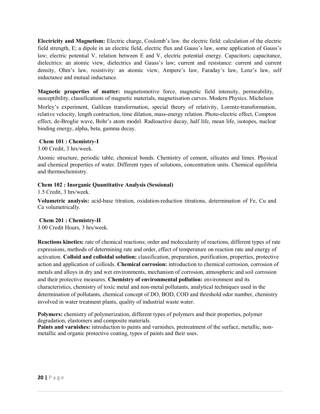Electricity and Magnetism: Electric charge, Coulomb's law. the electric field: calculation of the electric field strength, E; a dipole in an electric field, electric flux and Gauss's law, some application of Gauss's law; electric potential V, relation between E and V, electric potential energy. Capacitors; capacitance, dielectrics: an atomic view, dielectrics and Gauss's law; current and resistance: current and current density, Ohm's law, resistivity: an atomic view, Ampere's law, Faraday's law, Lenz's law, self inductance and mutual inductance.

Magnetic properties of matter: magnetomotive force, magnetic field intensity, permeability, susceptibility, classifications of magnetic materials, magnetisation curves. Modern Physics. Michelson

Morley's experiment, Galilean transformation, special theory of relativity, Lorentz-transformation, relative velocity, length contraction, time dilation, mass-energy relation. Photo-electric effect, Compton effect, de-Broglie wave, Bohr's atom model. Radioactive decay, half life, mean life, isotopes, nuclear binding energy, alpha, beta, gamma decay.

#### Chem 101 : Chemistry-I

3.00 Credit, 3 hrs/week.

Atomic structure, periodic table, chemical bonds. Chemistry of cement, silicates and limes. Physical and chemical properties of water. Different types of solutions, concentration units. Chemical equilibria and thermochemistry.

#### Chem 102 : Inorganic Quantitative Analysis (Sessional)

1.5 Credit, 3 hrs/week.

Volumetric analysis: acid-base titration, oxidation-reduction titrations, determination of Fe, Cu and Ca volumetrically.

#### Chem 201 : Chemistry-II

3.00 Credit Hours, 3 hrs/week.

Reactions kinetics: rate of chemical reactions; order and molecularity of reactions, different types of rate expressions, methods of determining rate and order, effect of temperature on reaction rate and energy of activation. Colloid and colloidal solution: classification, preparation, purification, properties, protective action and application of colloids. Chemical corrosion: introduction to chemical corrosion, corrosion of metals and alloys in dry and wet environments, mechanism of corrosion, atmospheric and soil corrosion and their protective measures. Chemistry of environmental pollution: environment and its characteristics, chemistry of toxic metal and non-metal pollutants, analytical techniques used in the determination of pollutants, chemical concept of DO, BOD, COD and threshold odor number, chemistry involved in water treatment plants, quality of industrial waste water.

Polymers: chemistry of polymerization, different types of polymers and their properties, polymer degradation, elastomers and composite materials.

Paints and varnishes: introduction to paints and varnishes, pretreatment of the surface, metallic, nonmetallic and organic protective coating, types of paints and their uses.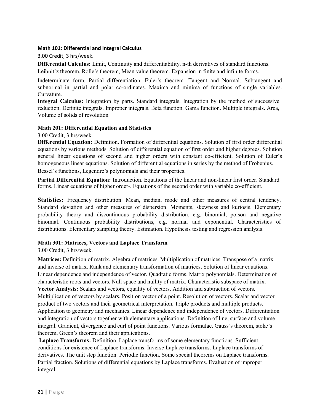#### Math 101: Differential and Integral Calculus

3.00 Credit, 3 hrs/week.

Differential Calculus: Limit, Continuity and differentiability. n-th derivatives of standard functions.

Leibnit'z theorem. Rolle's theorem, Mean value theorem. Expansion in finite and infinite forms.

Indeterminate form. Partial differentiation. Euler's theorem. Tangent and Normal. Subtangent and subnormal in partial and polar co-ordinates. Maxima and minima of functions of single variables. Curvature.

Integral Calculus: Integration by parts. Standard integrals. Integration by the method of successive reduction. Definite integrals. Improper integrals. Beta function. Gama function. Multiple integrals. Area, Volume of solids of revolution

#### Math 201: Differential Equation and Statistics

3.00 Credit, 3 hrs/week.

Differential Equation: Definition. Formation of differential equations. Solution of first order differential equations by various methods. Solution of differential equation of first order and higher degrees. Solution general linear equations of second and higher orders with constant co-efficient. Solution of Euler's homogeneous linear equations. Solution of differential equations in series by the method of Frobenius. Bessel's functions, Legendre's polynomials and their properties.

Partial Differential Equation: Introduction. Equations of the linear and non-linear first order. Standard forms. Linear equations of higher order-. Equations of the second order with variable co-efficient.

Statistics: Frequency distribution. Mean, median, mode and other measures of central tendency. Standard deviation and other measures of dispersion. Moments, skewness and kurtosis. Elementary probability theory and discontinuous probability distribution, e.g. binomial, poison and negative binomial. Continuous probability distributions, e.g. normal and exponential. Characteristics of distributions. Elementary sampling theory. Estimation. Hypothesis testing and regression analysis.

#### Math 301: Matrices, Vectors and Laplace Transform

#### 3.00 Credit, 3 hrs/week.

Matrices: Definition of matrix. Algebra of matrices. Multiplication of matrices. Transpose of a matrix and inverse of matrix. Rank and elementary transformation of matrices. Solution of linear equations. Linear dependence and independence of vector. Quadratic forms. Matrix polynomials. Determination of characteristic roots and vectors. Null space and nullity of matrix. Characteristic subspace of matrix. Vector Analysis: Scalars and vectors, equality of vectors. Addition and subtraction of vectors. Multiplication of vectors by scalars. Position vector of a point. Resolution of vectors. Scalar and vector product of two vectors and their geometrical interpretation. Triple products and multiple products. Application to geometry and mechanics. Linear dependence and independence of vectors. Differentiation and integration of vectors together with elementary applications. Definition of line, surface and volume integral. Gradient, divergence and curl of point functions. Various formulae. Gauss's theorem, stoke's theorem, Green's theorem and their applications.

Laplace Transforms: Definition. Laplace transforms of some elementary functions. Sufficient conditions for existence of Laplace transforms. Inverse Laplace transforms. Laplace transforms of derivatives. The unit step function. Periodic function. Some special theorems on Laplace transforms. Partial fraction. Solutions of differential equations by Laplace transforms. Evaluation of improper integral.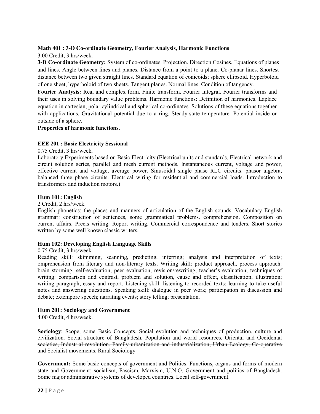#### Math 401 : 3-D Co-ordinate Geometry, Fourier Analysis, Harmonic Functions

3.00 Credit, 3 hrs/week.

3-D Co-ordinate Geometry: System of co-ordinates. Projection. Direction Cosines. Equations of planes and lines. Angle between lines and planes. Distance from a point to a plane. Co-planar lines. Shortest distance between two given straight lines. Standard equation of conicoids; sphere ellipsoid. Hyperboloid of one sheet, hyperboloid of two sheets. Tangent planes. Normal lines. Condition of tangency.

Fourier Analysis: Real and complex form. Finite transform. Fourier Integral. Fourier transforms and their uses in solving boundary value problems. Harmonic functions: Definition of harmonics. Laplace equation in cartesian, polar cylindrical and spherical co-ordinates. Solutions of these equations together with applications. Gravitational potential due to a ring. Steady-state temperature. Potential inside or outside of a sphere.

#### Properties of harmonic functions.

#### EEE 201 : Basic Electricity Sessional

0.75 Credit, 3 hrs/week.

Laboratory Experiments based on Basic Electricity (Electrical units and standards, Electrical network and circuit solution series, parallel and mesh current methods. Instantaneous current, voltage and power, effective current and voltage, average power. Sinusoidal single phase RLC circuits: phasor algebra, balanced three phase circuits. Electrical wiring for residential and commercial loads. Introduction to transformers and induction motors.)

#### Hum 101: English

2 Credit, 2 hrs/week.

English phonetics: the places and manners of articulation of the English sounds. Vocabulary English grammar: construction of sentences, some grammatical problems. comprehension. Composition on current affairs. Precis writing. Report writing. Commercial correspondence and tenders. Short stories written by some well known classic writers.

#### Hum 102: Developing English Language Skills

#### 0.75 Credit, 3 hrs/week.

Reading skill: skimming, scanning, predicting, inferring; analysis and interpretation of texts; omprehension from literary and non-literary texts. Writing skill: product approach, process approach: brain storming, self-evaluation, peer evaluation, revision/rewriting, teacher's evaluation; techniques of writing: comparison and contrast, problem and solution, cause and effect, classification, illustration; writing paragraph, essay and report. Listening skill: listening to recorded texts; learning to take useful notes and answering questions. Speaking skill: dialogue in peer work; participation in discussion and debate; extempore speech; narrating events; story telling; presentation.

#### Hum 201: Sociology and Government

4.00 Credit, 4 hrs/week.

Sociology: Scope, some Basic Concepts. Social evolution and techniques of production, culture and civilization. Social structure of Bangladesh. Population and world resources. Oriental and Occidental societies, Industrial revolution. Family urbanization and industrialization, Urban Ecology, Co-operative and Socialist movements. Rural Sociology.

Government: Some basic concepts of government and Politics. Functions, organs and forms of modern state and Government; socialism, Fascism, Marxism, U.N.O. Government and politics of Bangladesh. Some major administrative systems of developed countries. Local self-government.